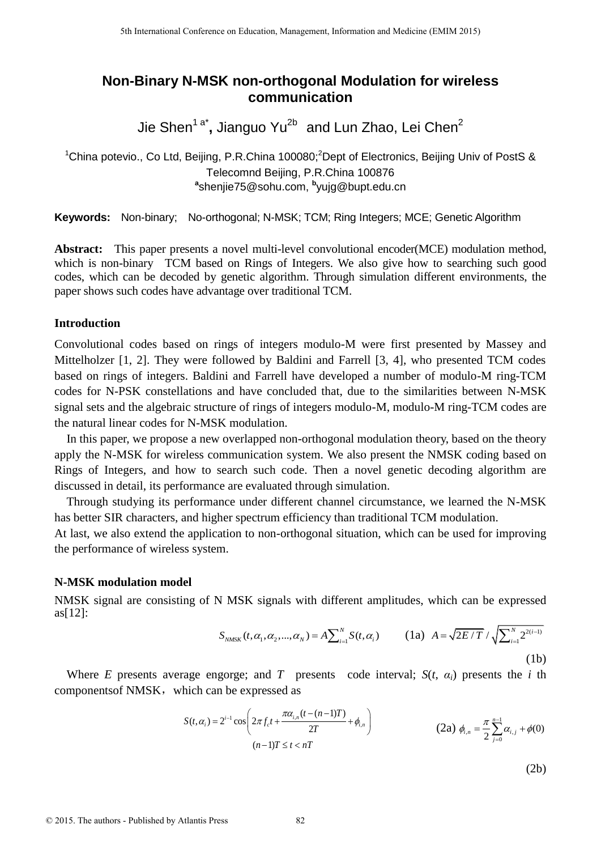# **Non-Binary N-MSK non-orthogonal Modulation for wireless communication**

Jie Shen<sup>1 a\*</sup>, Jianguo Yu<sup>2b</sup> and Lun Zhao, Lei Chen<sup>2</sup>

<sup>1</sup>China potevio., Co Ltd, Beijing, P.R.China 100080;<sup>2</sup>Dept of Electronics, Beijing Univ of PostS & Telecomnd Beijing, P.R.China 100876 **a** shenjie75@sohu.com, **b** yujg@bupt.edu.cn

**Keywords:** Non-binary; No-orthogonal; N-MSK; TCM; Ring Integers; MCE; Genetic Algorithm

**Abstract:** This paper presents a novel multi-level convolutional encoder(MCE) modulation method, which is non-binary TCM based on Rings of Integers. We also give how to searching such good codes, which can be decoded by genetic algorithm. Through simulation different environments, the paper shows such codes have advantage over traditional TCM.

## **Introduction**

Convolutional codes based on rings of integers modulo-M were first presented by Massey and Mittelholzer [1, 2]. They were followed by Baldini and Farrell [3, 4], who presented TCM codes based on rings of integers. Baldini and Farrell have developed a number of modulo-M ring-TCM codes for N-PSK constellations and have concluded that, due to the similarities between N-MSK signal sets and the algebraic structure of rings of integers modulo-M, modulo-M ring-TCM codes are the natural linear codes for N-MSK modulation.

In this paper, we propose a new overlapped non-orthogonal modulation theory, based on the theory apply the N-MSK for wireless communication system. We also present the NMSK coding based on Rings of Integers, and how to search such code. Then a novel genetic decoding algorithm are discussed in detail, its performance are evaluated through simulation.

Through studying its performance under different channel circumstance, we learned the N-MSK has better SIR characters, and higher spectrum efficiency than traditional TCM modulation.

At last, we also extend the application to non-orthogonal situation, which can be used for improving the performance of wireless system.

# **N-MSK modulation model**

NMSK signal are consisting of N MSK signals with different amplitudes, which can be expressed as[12]:

$$
S_{NMSK}(t, \alpha_1, \alpha_2, ..., \alpha_N) = A \sum_{i=1}^{N} S(t, \alpha_i)
$$
 (1a)  $A = \sqrt{2E/T} / \sqrt{\sum_{i=1}^{N} 2^{2(i-1)}}$  (1b)

Where *E* presents average engorge; and *T* presents code interval;  $S(t, \alpha_i)$  presents the *i* th components of NMSK, which can be expressed as

$$
S(t, \alpha_i) = 2^{i-1} \cos \left( 2\pi f_c t + \frac{\pi \alpha_{i,n} (t - (n-1)T)}{2T} + \phi_{i,n} \right)
$$
\n
$$
(2a) \ \phi_{i,n} = \frac{\pi}{2} \sum_{j=0}^{n-1} \alpha_{i,j} + \phi(0)
$$
\n
$$
(n-1)T \le t < n
$$

(2b)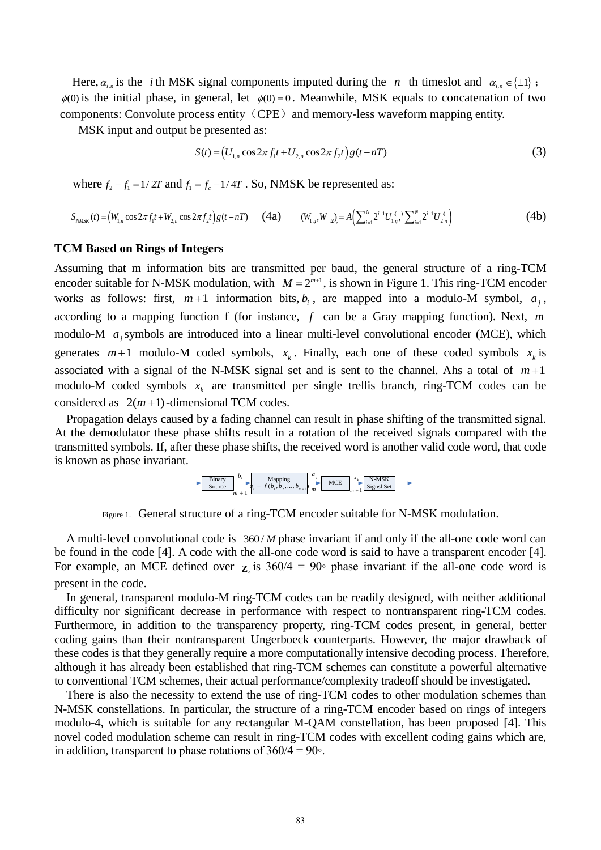Here,  $\alpha_{i,n}$  is the *i*th MSK signal components imputed during the *n* th timeslot and  $\alpha_{i,n} \in \{\pm 1\}$ ;  $\phi(0)$  is the initial phase, in general, let  $\phi(0) = 0$ . Meanwhile, MSK equals to concatenation of two components: Convolute process entity (CPE) and memory-less waveform mapping entity.

MSK input and output be presented as:

$$
S(t) = (U_{1,n} \cos 2\pi f_1 t + U_{2,n} \cos 2\pi f_2 t) g(t - nT)
$$
\n(3)

where  $f_2 - f_1 = 1/2T$  and  $f_1 = f_c - 1/4T$ . So, NMSK be represented as:

$$
S_{NMSK}(t) = (W_{1,n} \cos 2\pi f_1 t + W_{2,n} \cos 2\pi f_2 t) g(t - nT) \qquad (4a) \qquad (W_{1,n}, W_n) = A \Big( \sum_{i=1}^N 2^{i-1} U_{1,n}^{\ \ell} \Big) \sum_{i=1}^N 2^{i-1} U_{2,n}^{\ \ell} \Big)
$$
 (4b)

#### **TCM Based on Rings of Integers**

Assuming that m information bits are transmitted per baud, the general structure of a ring-TCM encoder suitable for N-MSK modulation, with  $M = 2^{m+1}$ , is shown in Figure 1. This ring-TCM encoder works as follows: first,  $m+1$  information bits,  $b_i$ , are mapped into a modulo-M symbol,  $a_j$ , according to a mapping function f (for instance, *f* can be a Gray mapping function). Next, *m* modulo-M  $a_j$  symbols are introduced into a linear multi-level convolutional encoder (MCE), which generates  $m+1$  modulo-M coded symbols,  $x_k$ . Finally, each one of these coded symbols  $x_k$  is associated with a signal of the N-MSK signal set and is sent to the channel. Ahs a total of  $m+1$ modulo-M coded symbols  $x_k$  are transmitted per single trellis branch, ring-TCM codes can be considered as  $2(m+1)$ -dimensional TCM codes.

Propagation delays caused by a fading channel can result in phase shifting of the transmitted signal. At the demodulator these phase shifts result in a rotation of the received signals compared with the transmitted symbols. If, after these phase shifts, the received word is another valid code word, that code is known as phase invariant.



Figure 1. General structure of a ring-TCM encoder suitable for N-MSK modulation.

A multi-level convolutional code is  $360/M$  phase invariant if and only if the all-one code word can be found in the code [4]. A code with the all-one code word is said to have a transparent encoder [4]. For example, an MCE defined over  $z_4$  is  $360/4 = 90\degree$  phase invariant if the all-one code word is present in the code.

In general, transparent modulo-M ring-TCM codes can be readily designed, with neither additional difficulty nor significant decrease in performance with respect to nontransparent ring-TCM codes. Furthermore, in addition to the transparency property, ring-TCM codes present, in general, better coding gains than their nontransparent Ungerboeck counterparts. However, the major drawback of these codes is that they generally require a more computationally intensive decoding process. Therefore, although it has already been established that ring-TCM schemes can constitute a powerful alternative to conventional TCM schemes, their actual performance/complexity tradeoff should be investigated.

There is also the necessity to extend the use of ring-TCM codes to other modulation schemes than N-MSK constellations. In particular, the structure of a ring-TCM encoder based on rings of integers modulo-4, which is suitable for any rectangular M-QAM constellation, has been proposed [4]. This novel coded modulation scheme can result in ring-TCM codes with excellent coding gains which are, in addition, transparent to phase rotations of  $360/4 = 90°$ .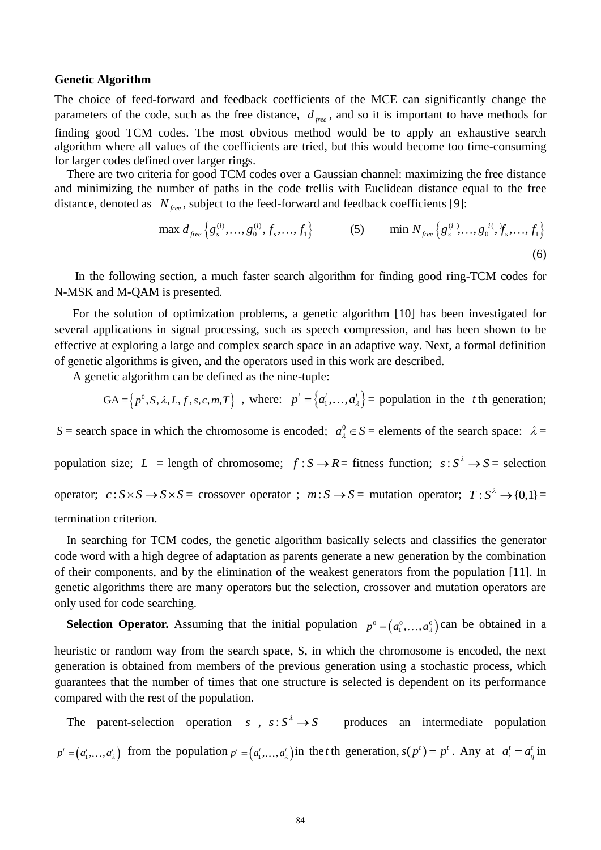#### **Genetic Algorithm**

The choice of feed-forward and feedback coefficients of the MCE can significantly change the parameters of the code, such as the free distance,  $d_{free}$ , and so it is important to have methods for finding good TCM codes. The most obvious method would be to apply an exhaustive search algorithm where all values of the coefficients are tried, but this would become too time-consuming for larger codes defined over larger rings.

There are two criteria for good TCM codes over a Gaussian channel: maximizing the free distance and minimizing the number of paths in the code trellis with Euclidean distance equal to the free distance, denoted as  $N_{free}$ , subject to the feed-forward and feedback coefficients [9]:

max 
$$
d_{free}
$$
 { $g_s^{(i)},..., g_0^{(i)}, f_s,..., f_1$ }  
(5) min  $N_{free}$  { $g_s^{(i)},..., g_0^{(i)}, f_s,..., f_1$ }  
(6)

 In the following section, a much faster search algorithm for finding good ring-TCM codes for N-MSK and M-QAM is presented.

For the solution of optimization problems, a genetic algorithm [10] has been investigated for several applications in signal processing, such as speech compression, and has been shown to be effective at exploring a large and complex search space in an adaptive way. Next, a formal definition of genetic algorithms is given, and the operators used in this work are described.

A genetic algorithm can be defined as the nine-tuple:

$$
GA = \left\{p^0, S, \lambda, L, f, s, c, m, T\right\}, \text{ where: } p^t = \left\{a_1^t, \dots, a_\lambda^t\right\} = \text{population in the } t \text{ the generation};
$$

*S* = search space in which the chromosome is encoded;  $a_{\lambda}^{0} \in S$  = elements of the search space:  $\lambda$  =

population size;  $L = \text{length of chromosome};$   $f : S \rightarrow R = \text{fitness function};$   $s : S^{\lambda} \rightarrow S = \text{selection}$ 

operator;  $c: S \times S \to S \times S = \text{crossover operator}$ ;  $m: S \to S = \text{mutation operator}$ ;  $T: S^{\lambda} \to \{0,1\} =$ 

termination criterion.

In searching for TCM codes, the genetic algorithm basically selects and classifies the generator code word with a high degree of adaptation as parents generate a new generation by the combination of their components, and by the elimination of the weakest generators from the population [11]. In genetic algorithms there are many operators but the selection, crossover and mutation operators are only used for code searching.

**Selection Operator.** Assuming that the initial population  $p^0 = (a_1^0, \ldots, a_\lambda^0)$  can be obtained in a heuristic or random way from the search space, S, in which the chromosome is encoded, the next generation is obtained from members of the previous generation using a stochastic process, which guarantees that the number of times that one structure is selected is dependent on its performance compared with the rest of the population.

The parent-selection operation  $s$ ,  $s: S^{\lambda} \to S$  produces an intermediate population  $p' = (a'_1, \ldots, a'_\lambda)$  from the population  $p' = (a'_1, \ldots, a'_\lambda)$  in the *t* th generation,  $s(p') = p'$ . Any at  $a'_i = a'_i$  in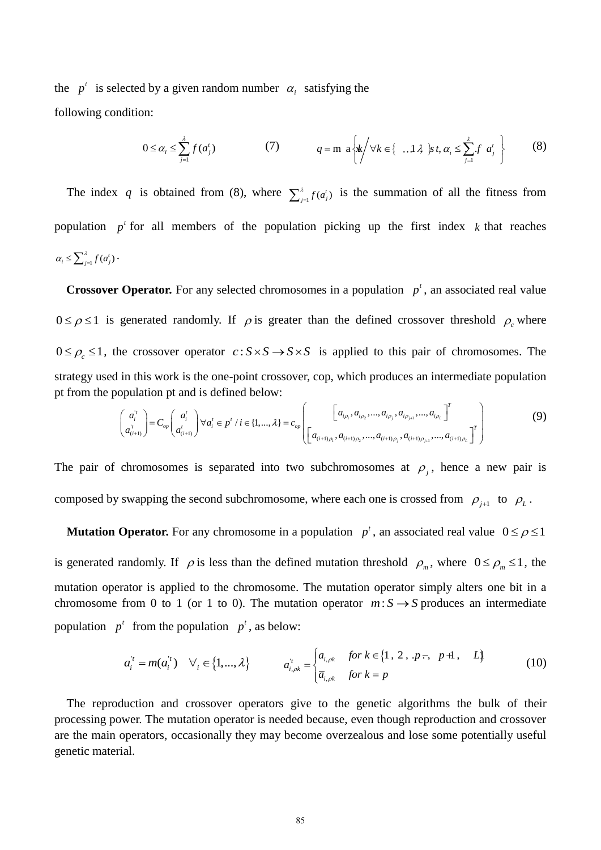the  $p^t$  is selected by a given random number  $\alpha_i$  satisfying the following condition:

$$
0 \leq \alpha_i \leq \sum_{j=1}^{\lambda} f(a_j^t)
$$
 (7) 
$$
q = m \left\{ \frac{\mathbf{1}}{\mathbf{1}} \left\{ \forall k \in \left\{ \dots \mathbf{1} \lambda \right\} s \mathbf{1}, \alpha_i \leq \sum_{j=1}^{\lambda} f \alpha_j^t \right\} \right\}
$$
 (8)

The index q is obtained from (8), where  $\sum_{j=1}^{i} f(a_j)$  is the summation of all the fitness from population  $p^t$  for all members of the population picking up the first index  $k$  that reaches  $\alpha_i \leq \sum_{j=1}^{\lambda} f(a_j^t)$ .

**Crossover Operator.** For any selected chromosomes in a population  $p^t$ , an associated real value  $0 \le \rho \le 1$  is generated randomly. If  $\rho$  is greater than the defined crossover threshold  $\rho_c$  where  $0 \le \rho_c \le 1$ , the crossover operator  $c: S \times S \to S \times S$  is applied to this pair of chromosomes. The strategy used in this work is the one-point crossover, cop, which produces an intermediate population<br>
pt from the population pt and is defined below:<br>  $\begin{pmatrix} a'_i \\ a'_{i+1} \end{pmatrix} = C_{op} \begin{pmatrix} a'_i \\ a'_{i+1} \end{pmatrix} \forall a'_i \in p' \land i \in \{1$ pt from the population pt and is defined below:

in this work is the one-point crossover, cop, which produces an intermediate population  
population pt and is defined below:  

$$
\begin{pmatrix} a_i^{\prime} \\ a_{(i+1)}^{\prime} \end{pmatrix} = C_{op} \begin{pmatrix} a_i^{\prime} \\ a_{(i+1)}^{\prime} \end{pmatrix} \forall a_i^{\prime} \in p^{\prime} / i \in \{1, ..., \lambda\} = c_{op} \begin{pmatrix} a_{i\rho_1}, a_{i\rho_2}, ..., a_{i\rho_j}, a_{i\rho_{j+1}}, ..., a_{i\rho_L} \end{pmatrix}^T
$$
(9)

The pair of chromosomes is separated into two subchromosomes at  $\rho_j$ , hence a new pair is composed by swapping the second subchromosome, where each one is crossed from  $\rho_{j+1}$  to  $\rho_L$ .

**Mutation Operator.** For any chromosome in a population  $p^t$ , an associated real value  $0 \leq \rho \leq 1$ is generated randomly. If  $\rho$  is less than the defined mutation threshold  $\rho_m$ , where  $0 \le \rho_m \le 1$ , the mutation operator is applied to the chromosome. The mutation operator simply alters one bit in a chromosome from 0 to 1 (or 1 to 0). The mutation operator  $m: S \rightarrow S$  produces an intermediate population  $p^t$  from the population  $p^t$ , as below:

$$
a_i^{\dagger} = m(a_i^{\dagger}) \quad \forall_i \in \{1, ..., \lambda\} \qquad a_{i, \rho k}^{\dagger} = \begin{cases} a_{i, \rho k} & \text{for } k \in \{1, 2, .p-, p+1, L\} \\ \overline{a}_{i, \rho k} & \text{for } k = p \end{cases} \tag{10}
$$

The reproduction and crossover operators give to the genetic algorithms the bulk of their processing power. The mutation operator is needed because, even though reproduction and crossover are the main operators, occasionally they may become overzealous and lose some potentially useful genetic material.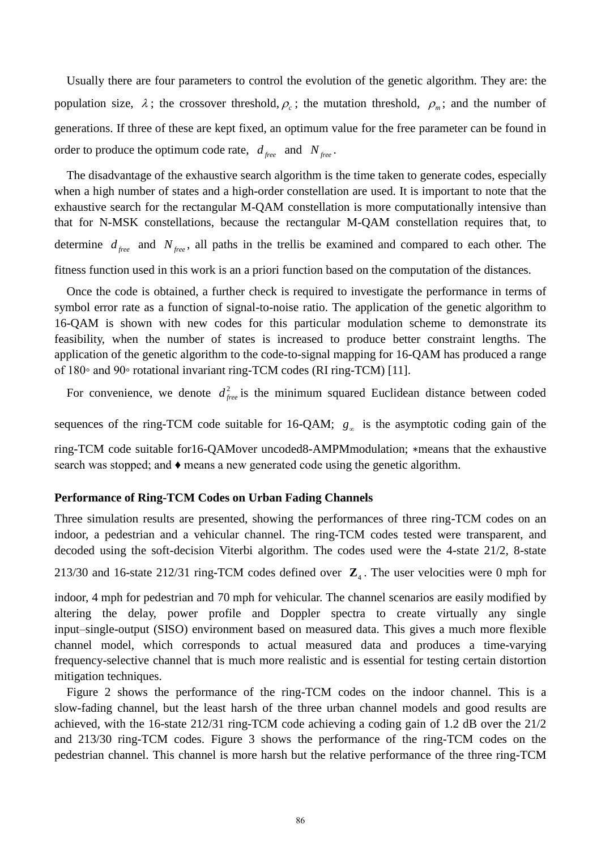Usually there are four parameters to control the evolution of the genetic algorithm. They are: the population size,  $\lambda$ ; the crossover threshold,  $\rho_c$ ; the mutation threshold,  $\rho_m$ ; and the number of generations. If three of these are kept fixed, an optimum value for the free parameter can be found in order to produce the optimum code rate,  $d_{free}$  and  $N_{free}$ .

The disadvantage of the exhaustive search algorithm is the time taken to generate codes, especially when a high number of states and a high-order constellation are used. It is important to note that the exhaustive search for the rectangular M-QAM constellation is more computationally intensive than that for N-MSK constellations, because the rectangular M-QAM constellation requires that, to determine  $d_{free}$  and  $N_{free}$ , all paths in the trellis be examined and compared to each other. The fitness function used in this work is an a priori function based on the computation of the distances.

Once the code is obtained, a further check is required to investigate the performance in terms of symbol error rate as a function of signal-to-noise ratio. The application of the genetic algorithm to 16-QAM is shown with new codes for this particular modulation scheme to demonstrate its feasibility, when the number of states is increased to produce better constraint lengths. The application of the genetic algorithm to the code-to-signal mapping for 16-QAM has produced a range of 180◦ and 90◦ rotational invariant ring-TCM codes (RI ring-TCM) [11].

For convenience, we denote  $d_{free}^2$  is the minimum squared Euclidean distance between coded

sequences of the ring-TCM code suitable for 16-QAM;  $g_{\infty}$  is the asymptotic coding gain of the

ring-TCM code suitable for16-QAMover uncoded8-AMPMmodulation; ∗means that the exhaustive search was stopped; and  $\bullet$  means a new generated code using the genetic algorithm.

#### **Performance of Ring-TCM Codes on Urban Fading Channels**

Three simulation results are presented, showing the performances of three ring-TCM codes on an indoor, a pedestrian and a vehicular channel. The ring-TCM codes tested were transparent, and decoded using the soft-decision Viterbi algorithm. The codes used were the 4-state 21/2, 8-state

213/30 and 16-state 212/31 ring-TCM codes defined over  $\mathbb{Z}_4$ . The user velocities were 0 mph for

indoor, 4 mph for pedestrian and 70 mph for vehicular. The channel scenarios are easily modified by altering the delay, power profile and Doppler spectra to create virtually any single input–single-output (SISO) environment based on measured data. This gives a much more flexible channel model, which corresponds to actual measured data and produces a time-varying frequency-selective channel that is much more realistic and is essential for testing certain distortion mitigation techniques.

Figure 2 shows the performance of the ring-TCM codes on the indoor channel. This is a slow-fading channel, but the least harsh of the three urban channel models and good results are achieved, with the 16-state 212/31 ring-TCM code achieving a coding gain of 1.2 dB over the 21/2 and 213/30 ring-TCM codes. Figure 3 shows the performance of the ring-TCM codes on the pedestrian channel. This channel is more harsh but the relative performance of the three ring-TCM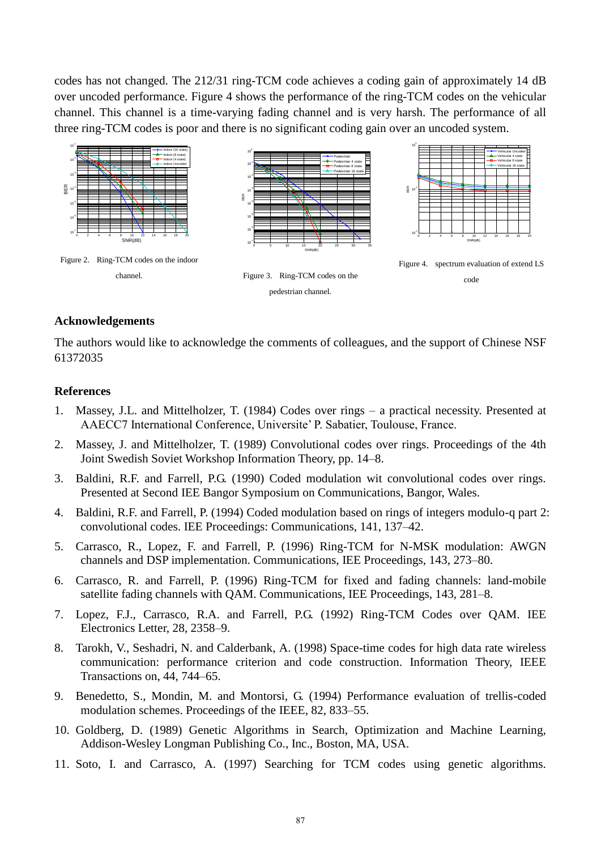codes has not changed. The 212/31 ring-TCM code achieves a coding gain of approximately 14 dB over uncoded performance. Figure 4 shows the performance of the ring-TCM codes on the vehicular channel. This channel is a time-varying fading channel and is very harsh. The performance of all three ring-TCM codes is poor and there is no significant coding gain over an uncoded system.



### **Acknowledgements**

The authors would like to acknowledge the comments of colleagues, and the support of Chinese NSF 61372035

#### **References**

- 1. Massey, J.L. and Mittelholzer, T. (1984) Codes over rings a practical necessity. Presented at AAECC7 International Conference, Universite' P. Sabatier, Toulouse, France.
- 2. Massey, J. and Mittelholzer, T. (1989) Convolutional codes over rings. Proceedings of the 4th Joint Swedish Soviet Workshop Information Theory, pp. 14–8.
- 3. Baldini, R.F. and Farrell, P.G. (1990) Coded modulation wit convolutional codes over rings. Presented at Second IEE Bangor Symposium on Communications, Bangor, Wales.
- 4. Baldini, R.F. and Farrell, P. (1994) Coded modulation based on rings of integers modulo-q part 2: convolutional codes. IEE Proceedings: Communications, 141, 137–42.
- 5. Carrasco, R., Lopez, F. and Farrell, P. (1996) Ring-TCM for N-MSK modulation: AWGN channels and DSP implementation. Communications, IEE Proceedings, 143, 273–80.
- 6. Carrasco, R. and Farrell, P. (1996) Ring-TCM for fixed and fading channels: land-mobile satellite fading channels with QAM. Communications, IEE Proceedings, 143, 281–8.
- 7. Lopez, F.J., Carrasco, R.A. and Farrell, P.G. (1992) Ring-TCM Codes over QAM. IEE Electronics Letter, 28, 2358–9.
- 8. Tarokh, V., Seshadri, N. and Calderbank, A. (1998) Space-time codes for high data rate wireless communication: performance criterion and code construction. Information Theory, IEEE Transactions on, 44, 744–65.
- 9. Benedetto, S., Mondin, M. and Montorsi, G. (1994) Performance evaluation of trellis-coded modulation schemes. Proceedings of the IEEE, 82, 833–55.
- 10. Goldberg, D. (1989) Genetic Algorithms in Search, Optimization and Machine Learning, Addison-Wesley Longman Publishing Co., Inc., Boston, MA, USA.
- 11. Soto, I. and Carrasco, A. (1997) Searching for TCM codes using genetic algorithms.